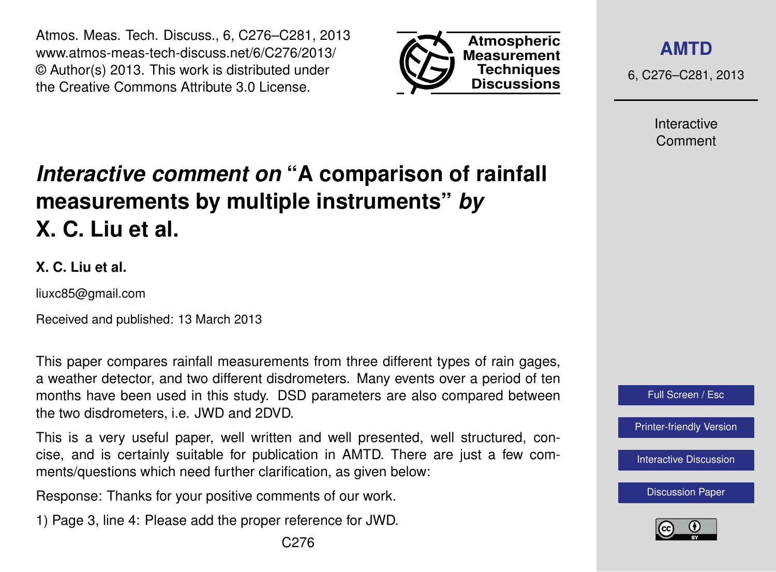Atmos. Meas. Tech. Discuss., 6, C276–C281, 2013 www.atmos-meas-tech-discuss.net/6/C276/2013/ © Author(s) 2013. This work is distributed under the Creative Commons Attribute 3.0 License.



**[AMTD](http://www.atmos-meas-tech-discuss.net)**

6, C276–C281, 2013

Interactive Comment

# *Interactive comment on* **"A comparison of rainfall measurements by multiple instruments"** *by* **X. C. Liu et al.**

#### **X. C. Liu et al.**

liuxc85@gmail.com

Received and published: 13 March 2013

This paper compares rainfall measurements from three different types of rain gages, a weather detector, and two different disdrometers. Many events over a period of ten months have been used in this study. DSD parameters are also compared between the two disdrometers, i.e. JWD and 2DVD.

This is a very useful paper, well written and well presented, well structured, concise, and is certainly suitable for publication in AMTD. There are just a few comments/questions which need further clarification, as given below:

Response: Thanks for your positive comments of our work.

1) Page 3, line 4: Please add the proper reference for JWD.

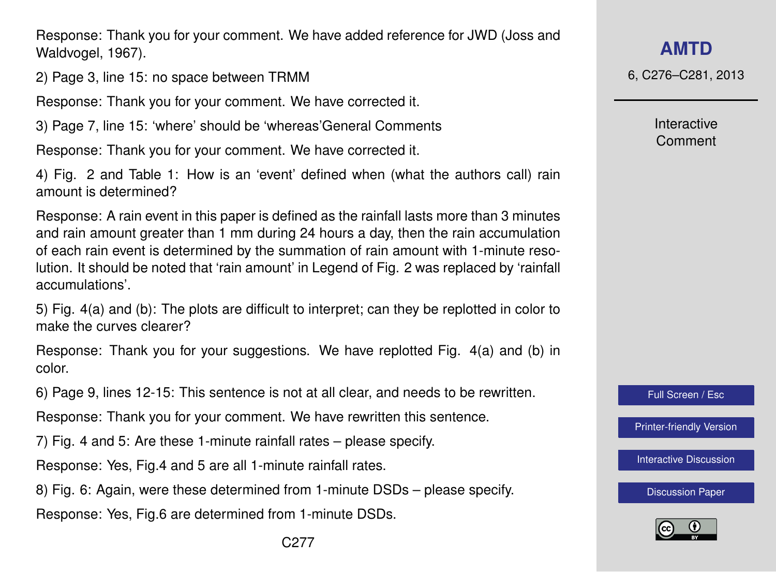Response: Thank you for your comment. We have added reference for JWD (Joss and Waldvogel, 1967).

2) Page 3, line 15: no space between TRMM

Response: Thank you for your comment. We have corrected it.

3) Page 7, line 15: 'where' should be 'whereas'General Comments

Response: Thank you for your comment. We have corrected it.

4) Fig. 2 and Table 1: How is an 'event' defined when (what the authors call) rain amount is determined?

Response: A rain event in this paper is defined as the rainfall lasts more than 3 minutes and rain amount greater than 1 mm during 24 hours a day, then the rain accumulation of each rain event is determined by the summation of rain amount with 1-minute resolution. It should be noted that 'rain amount' in Legend of Fig. 2 was replaced by 'rainfall accumulations'.

5) Fig. 4(a) and (b): The plots are difficult to interpret; can they be replotted in color to make the curves clearer?

Response: Thank you for your suggestions. We have replotted Fig. 4(a) and (b) in color.

6) Page 9, lines 12-15: This sentence is not at all clear, and needs to be rewritten.

Response: Thank you for your comment. We have rewritten this sentence.

7) Fig. 4 and 5: Are these 1-minute rainfall rates – please specify.

Response: Yes, Fig.4 and 5 are all 1-minute rainfall rates.

8) Fig. 6: Again, were these determined from 1-minute DSDs – please specify.

Response: Yes, Fig.6 are determined from 1-minute DSDs.

6, C276–C281, 2013

Interactive Comment

Full Screen / Esc

[Printer-friendly Version](http://www.atmos-meas-tech-discuss.net/6/C276/2013/amtd-6-C276-2013-print.pdf)

[Interactive Discussion](http://www.atmos-meas-tech-discuss.net/6/519/2013/amtd-6-519-2013-discussion.html)

[Discussion Paper](http://www.atmos-meas-tech-discuss.net/6/519/2013/amtd-6-519-2013.pdf)

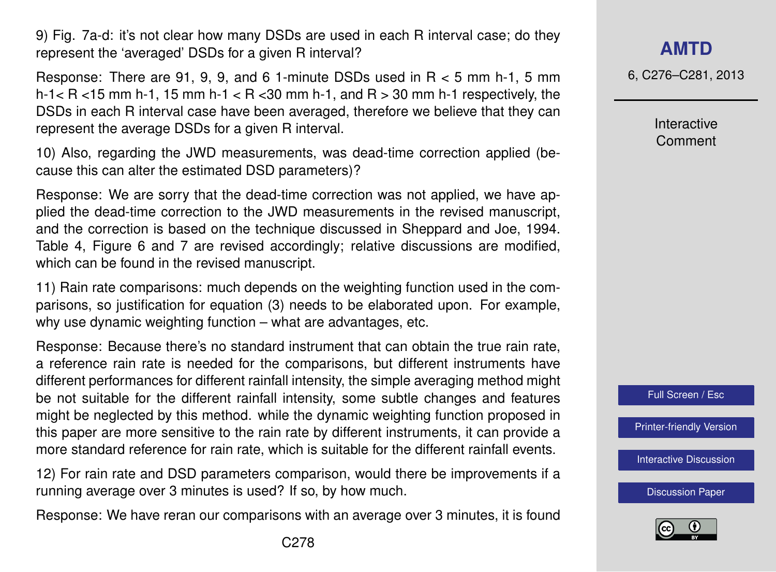9) Fig. 7a-d: it's not clear how many DSDs are used in each R interval case; do they represent the 'averaged' DSDs for a given R interval?

Response: There are 91, 9, 9, and 6 1-minute DSDs used in R < 5 mm h-1, 5 mm h-1 $<$  R  $<$  15 mm h-1, 15 mm h-1 $<$  R  $<$  30 mm h-1, and R  $>$  30 mm h-1 respectively, the DSDs in each R interval case have been averaged, therefore we believe that they can represent the average DSDs for a given R interval.

10) Also, regarding the JWD measurements, was dead-time correction applied (because this can alter the estimated DSD parameters)?

Response: We are sorry that the dead-time correction was not applied, we have applied the dead-time correction to the JWD measurements in the revised manuscript, and the correction is based on the technique discussed in Sheppard and Joe, 1994. Table 4, Figure 6 and 7 are revised accordingly; relative discussions are modified, which can be found in the revised manuscript.

11) Rain rate comparisons: much depends on the weighting function used in the comparisons, so justification for equation (3) needs to be elaborated upon. For example, why use dynamic weighting function – what are advantages, etc.

Response: Because there's no standard instrument that can obtain the true rain rate, a reference rain rate is needed for the comparisons, but different instruments have different performances for different rainfall intensity, the simple averaging method might be not suitable for the different rainfall intensity, some subtle changes and features might be neglected by this method. while the dynamic weighting function proposed in this paper are more sensitive to the rain rate by different instruments, it can provide a more standard reference for rain rate, which is suitable for the different rainfall events.

12) For rain rate and DSD parameters comparison, would there be improvements if a running average over 3 minutes is used? If so, by how much.

Response: We have reran our comparisons with an average over 3 minutes, it is found

**[AMTD](http://www.atmos-meas-tech-discuss.net)**

6, C276–C281, 2013

Interactive Comment



[Printer-friendly Version](http://www.atmos-meas-tech-discuss.net/6/C276/2013/amtd-6-C276-2013-print.pdf)

[Interactive Discussion](http://www.atmos-meas-tech-discuss.net/6/519/2013/amtd-6-519-2013-discussion.html)

[Discussion Paper](http://www.atmos-meas-tech-discuss.net/6/519/2013/amtd-6-519-2013.pdf)

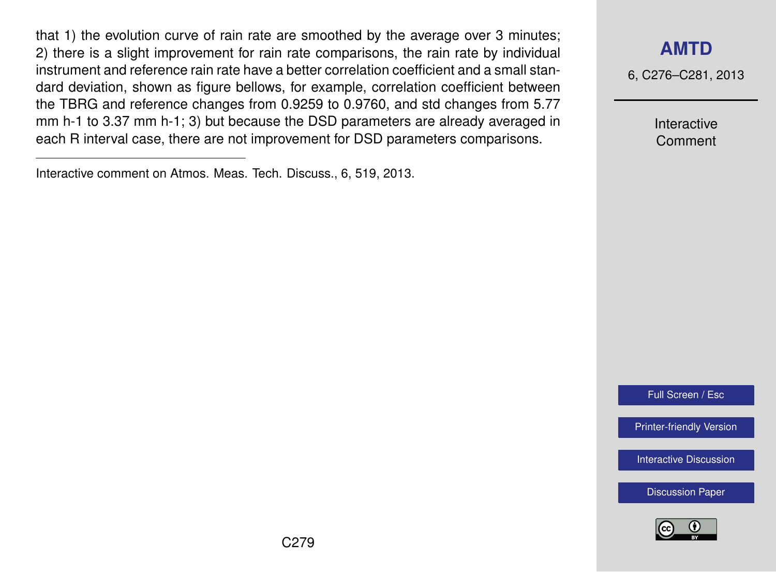that 1) the evolution curve of rain rate are smoothed by the average over 3 minutes; 2) there is a slight improvement for rain rate comparisons, the rain rate by individual instrument and reference rain rate have a better correlation coefficient and a small standard deviation, shown as figure bellows, for example, correlation coefficient between the TBRG and reference changes from 0.9259 to 0.9760, and std changes from 5.77 mm h-1 to 3.37 mm h-1; 3) but because the DSD parameters are already averaged in each R interval case, there are not improvement for DSD parameters comparisons.

### **[AMTD](http://www.atmos-meas-tech-discuss.net)**

6, C276–C281, 2013

Interactive Comment

Full Screen / Esc

[Printer-friendly Version](http://www.atmos-meas-tech-discuss.net/6/C276/2013/amtd-6-C276-2013-print.pdf)

[Interactive Discussion](http://www.atmos-meas-tech-discuss.net/6/519/2013/amtd-6-519-2013-discussion.html)

[Discussion Paper](http://www.atmos-meas-tech-discuss.net/6/519/2013/amtd-6-519-2013.pdf)



Interactive comment on Atmos. Meas. Tech. Discuss., 6, 519, 2013.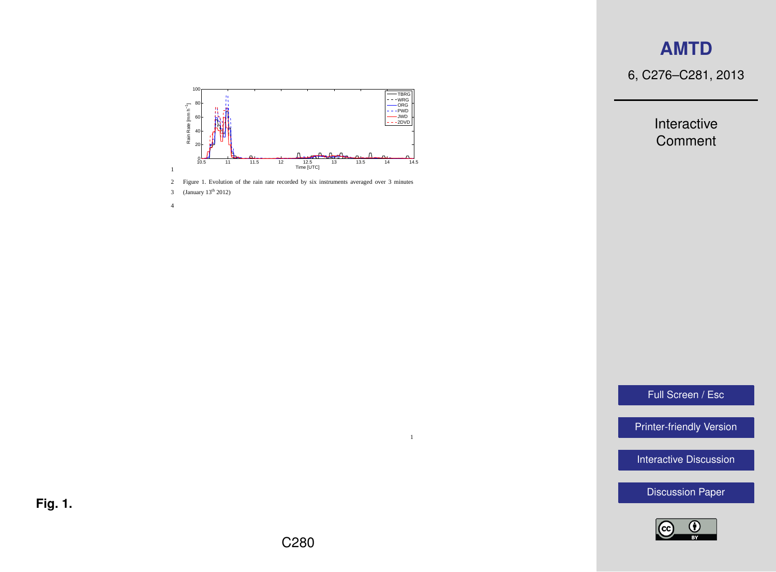## **[AMTD](http://www.atmos-meas-tech-discuss.net)**

6, C276–C281, 2013

Interactive Comment



2 Figure 1. Evolution of the rain rate recorded by six instruments averaged over 3 minutes





Full Screen / Esc

[Printer-friendly Version](http://www.atmos-meas-tech-discuss.net/6/C276/2013/amtd-6-C276-2013-print.pdf)

[Interactive Discussion](http://www.atmos-meas-tech-discuss.net/6/519/2013/amtd-6-519-2013-discussion.html)

[Discussion Paper](http://www.atmos-meas-tech-discuss.net/6/519/2013/amtd-6-519-2013.pdf)



**Fig. 1.**

1